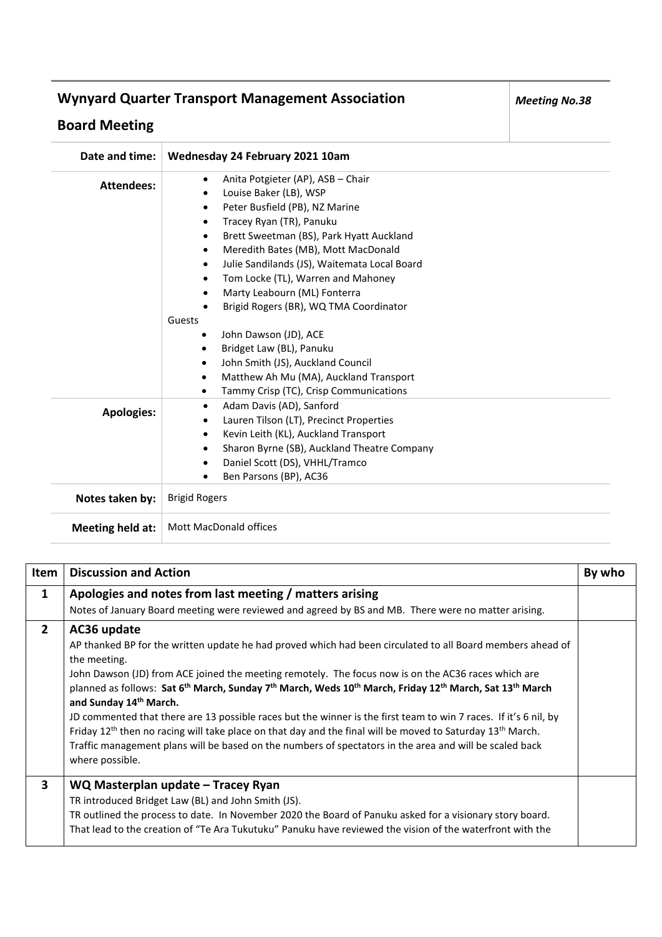## **Wynyard Quarter Transport Management Association**

## **Board Meeting**

| Date and time:    | Wednesday 24 February 2021 10am                                                                                                                                                                                                                                                                                                                                                                                                                                                                                                          |
|-------------------|------------------------------------------------------------------------------------------------------------------------------------------------------------------------------------------------------------------------------------------------------------------------------------------------------------------------------------------------------------------------------------------------------------------------------------------------------------------------------------------------------------------------------------------|
| <b>Attendees:</b> | Anita Potgieter (AP), ASB - Chair<br>$\bullet$<br>Louise Baker (LB), WSP<br>$\bullet$<br>Peter Busfield (PB), NZ Marine<br>٠<br>Tracey Ryan (TR), Panuku<br>٠<br>Brett Sweetman (BS), Park Hyatt Auckland<br>$\bullet$<br>Meredith Bates (MB), Mott MacDonald<br>$\bullet$<br>Julie Sandilands (JS), Waitemata Local Board<br>٠<br>Tom Locke (TL), Warren and Mahoney<br>$\bullet$<br>Marty Leabourn (ML) Fonterra<br>Brigid Rogers (BR), WQ TMA Coordinator<br>Guests<br>John Dawson (JD), ACE<br>$\bullet$<br>Bridget Law (BL), Panuku |
|                   | John Smith (JS), Auckland Council<br>$\bullet$<br>Matthew Ah Mu (MA), Auckland Transport<br>$\bullet$<br>Tammy Crisp (TC), Crisp Communications<br>$\bullet$                                                                                                                                                                                                                                                                                                                                                                             |
| <b>Apologies:</b> | Adam Davis (AD), Sanford<br>$\bullet$<br>Lauren Tilson (LT), Precinct Properties<br>٠<br>Kevin Leith (KL), Auckland Transport<br>$\bullet$<br>Sharon Byrne (SB), Auckland Theatre Company<br>$\bullet$<br>Daniel Scott (DS), VHHL/Tramco<br>$\bullet$<br>Ben Parsons (BP), AC36                                                                                                                                                                                                                                                          |
| Notes taken by:   | <b>Brigid Rogers</b>                                                                                                                                                                                                                                                                                                                                                                                                                                                                                                                     |
| Meeting held at:  | Mott MacDonald offices                                                                                                                                                                                                                                                                                                                                                                                                                                                                                                                   |

*Meeting No.38*

| Item           | <b>Discussion and Action</b>                                                                                                                                                                                                                                                                                                                                                                                                                                                                                                                                                                                                                                                                                                                                                                                                | By who |
|----------------|-----------------------------------------------------------------------------------------------------------------------------------------------------------------------------------------------------------------------------------------------------------------------------------------------------------------------------------------------------------------------------------------------------------------------------------------------------------------------------------------------------------------------------------------------------------------------------------------------------------------------------------------------------------------------------------------------------------------------------------------------------------------------------------------------------------------------------|--------|
| 1              | Apologies and notes from last meeting / matters arising<br>Notes of January Board meeting were reviewed and agreed by BS and MB. There were no matter arising.                                                                                                                                                                                                                                                                                                                                                                                                                                                                                                                                                                                                                                                              |        |
| $\overline{2}$ | AC36 update<br>AP thanked BP for the written update he had proved which had been circulated to all Board members ahead of<br>the meeting.<br>John Dawson (JD) from ACE joined the meeting remotely. The focus now is on the AC36 races which are<br>planned as follows: Sat 6 <sup>th</sup> March, Sunday 7 <sup>th</sup> March, Weds 10 <sup>th</sup> March, Friday 12 <sup>th</sup> March, Sat 13 <sup>th</sup> March<br>and Sunday 14th March.<br>JD commented that there are 13 possible races but the winner is the first team to win 7 races. If it's 6 nil, by<br>Friday $12^{th}$ then no racing will take place on that day and the final will be moved to Saturday $13^{th}$ March.<br>Traffic management plans will be based on the numbers of spectators in the area and will be scaled back<br>where possible. |        |
| 3              | WQ Masterplan update – Tracey Ryan<br>TR introduced Bridget Law (BL) and John Smith (JS).<br>TR outlined the process to date. In November 2020 the Board of Panuku asked for a visionary story board.<br>That lead to the creation of "Te Ara Tukutuku" Panuku have reviewed the vision of the waterfront with the                                                                                                                                                                                                                                                                                                                                                                                                                                                                                                          |        |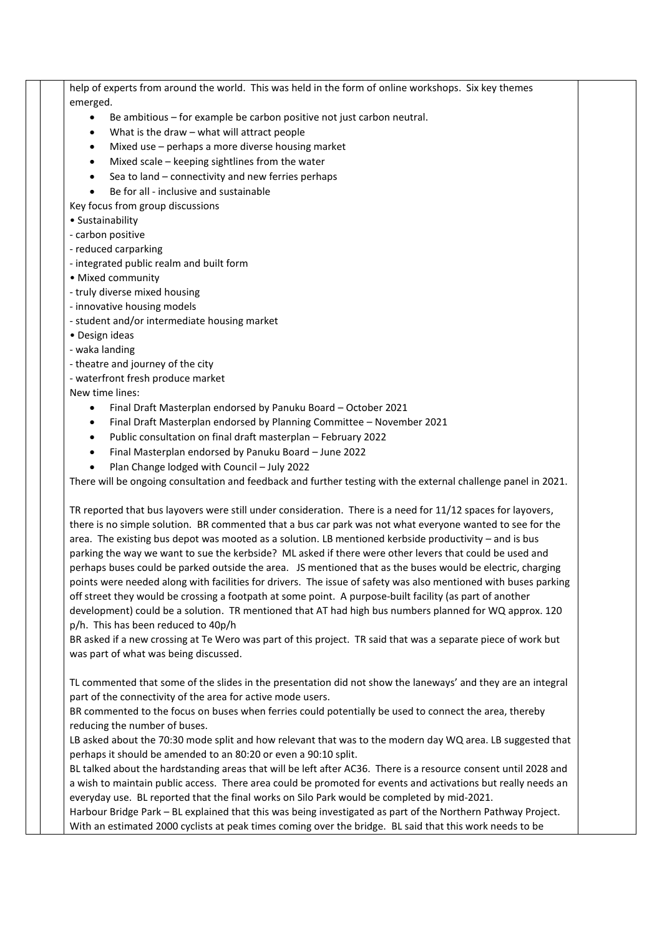help of experts from around the world. This was held in the form of online workshops. Six key themes emerged.

- Be ambitious for example be carbon positive not just carbon neutral.
- What is the draw what will attract people
- Mixed use perhaps a more diverse housing market
- Mixed scale keeping sightlines from the water
- Sea to land connectivity and new ferries perhaps
- Be for all inclusive and sustainable

Key focus from group discussions

- Sustainability
- carbon positive
- reduced carparking
- integrated public realm and built form
- Mixed community
- truly diverse mixed housing
- innovative housing models
- student and/or intermediate housing market
- Design ideas
- waka landing
- theatre and journey of the city
- waterfront fresh produce market

New time lines:

- Final Draft Masterplan endorsed by Panuku Board October 2021
- Final Draft Masterplan endorsed by Planning Committee November 2021
- Public consultation on final draft masterplan February 2022
- Final Masterplan endorsed by Panuku Board June 2022
- Plan Change lodged with Council July 2022

There will be ongoing consultation and feedback and further testing with the external challenge panel in 2021.

TR reported that bus layovers were still under consideration. There is a need for 11/12 spaces for layovers, there is no simple solution. BR commented that a bus car park was not what everyone wanted to see for the area. The existing bus depot was mooted as a solution. LB mentioned kerbside productivity – and is bus parking the way we want to sue the kerbside? ML asked if there were other levers that could be used and perhaps buses could be parked outside the area. JS mentioned that as the buses would be electric, charging points were needed along with facilities for drivers. The issue of safety was also mentioned with buses parking off street they would be crossing a footpath at some point. A purpose-built facility (as part of another development) could be a solution. TR mentioned that AT had high bus numbers planned for WQ approx. 120 p/h. This has been reduced to 40p/h

BR asked if a new crossing at Te Wero was part of this project. TR said that was a separate piece of work but was part of what was being discussed.

TL commented that some of the slides in the presentation did not show the laneways' and they are an integral part of the connectivity of the area for active mode users.

BR commented to the focus on buses when ferries could potentially be used to connect the area, thereby reducing the number of buses.

LB asked about the 70:30 mode split and how relevant that was to the modern day WQ area. LB suggested that perhaps it should be amended to an 80:20 or even a 90:10 split.

BL talked about the hardstanding areas that will be left after AC36. There is a resource consent until 2028 and a wish to maintain public access. There area could be promoted for events and activations but really needs an everyday use. BL reported that the final works on Silo Park would be completed by mid-2021.

Harbour Bridge Park – BL explained that this was being investigated as part of the Northern Pathway Project. With an estimated 2000 cyclists at peak times coming over the bridge. BL said that this work needs to be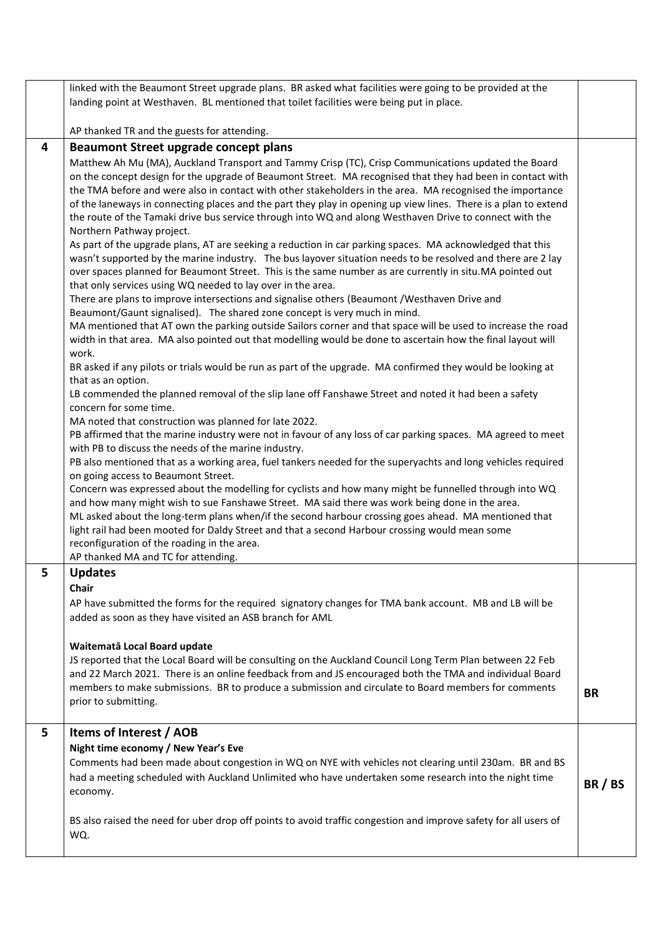|   | linked with the Beaumont Street upgrade plans. BR asked what facilities were going to be provided at the         |           |
|---|------------------------------------------------------------------------------------------------------------------|-----------|
|   | landing point at Westhaven. BL mentioned that toilet facilities were being put in place.                         |           |
|   |                                                                                                                  |           |
|   | AP thanked TR and the guests for attending.                                                                      |           |
| 4 | <b>Beaumont Street upgrade concept plans</b>                                                                     |           |
|   | Matthew Ah Mu (MA), Auckland Transport and Tammy Crisp (TC), Crisp Communications updated the Board              |           |
|   | on the concept design for the upgrade of Beaumont Street. MA recognised that they had been in contact with       |           |
|   | the TMA before and were also in contact with other stakeholders in the area. MA recognised the importance        |           |
|   | of the laneways in connecting places and the part they play in opening up view lines. There is a plan to extend  |           |
|   | the route of the Tamaki drive bus service through into WQ and along Westhaven Drive to connect with the          |           |
|   | Northern Pathway project.                                                                                        |           |
|   | As part of the upgrade plans, AT are seeking a reduction in car parking spaces. MA acknowledged that this        |           |
|   | wasn't supported by the marine industry. The bus layover situation needs to be resolved and there are 2 lay      |           |
|   | over spaces planned for Beaumont Street. This is the same number as are currently in situ. MA pointed out        |           |
|   | that only services using WQ needed to lay over in the area.                                                      |           |
|   | There are plans to improve intersections and signalise others (Beaumont /Westhaven Drive and                     |           |
|   | Beaumont/Gaunt signalised). The shared zone concept is very much in mind.                                        |           |
|   | MA mentioned that AT own the parking outside Sailors corner and that space will be used to increase the road     |           |
|   | width in that area. MA also pointed out that modelling would be done to ascertain how the final layout will      |           |
|   | work.                                                                                                            |           |
|   | BR asked if any pilots or trials would be run as part of the upgrade. MA confirmed they would be looking at      |           |
|   | that as an option.                                                                                               |           |
|   | LB commended the planned removal of the slip lane off Fanshawe Street and noted it had been a safety             |           |
|   | concern for some time.                                                                                           |           |
|   | MA noted that construction was planned for late 2022.                                                            |           |
|   | PB affirmed that the marine industry were not in favour of any loss of car parking spaces. MA agreed to meet     |           |
|   | with PB to discuss the needs of the marine industry.                                                             |           |
|   | PB also mentioned that as a working area, fuel tankers needed for the superyachts and long vehicles required     |           |
|   | on going access to Beaumont Street.                                                                              |           |
|   | Concern was expressed about the modelling for cyclists and how many might be funnelled through into WQ           |           |
|   | and how many might wish to sue Fanshawe Street. MA said there was work being done in the area.                   |           |
|   | ML asked about the long-term plans when/if the second harbour crossing goes ahead. MA mentioned that             |           |
|   | light rail had been mooted for Daldy Street and that a second Harbour crossing would mean some                   |           |
|   | reconfiguration of the roading in the area.                                                                      |           |
|   | AP thanked MA and TC for attending.                                                                              |           |
| 5 | <b>Updates</b>                                                                                                   |           |
|   | Chair                                                                                                            |           |
|   | AP have submitted the forms for the required signatory changes for TMA bank account. MB and LB will be           |           |
|   | added as soon as they have visited an ASB branch for AML                                                         |           |
|   |                                                                                                                  |           |
|   | Waitematā Local Board update                                                                                     |           |
|   | JS reported that the Local Board will be consulting on the Auckland Council Long Term Plan between 22 Feb        |           |
|   | and 22 March 2021. There is an online feedback from and JS encouraged both the TMA and individual Board          |           |
|   | members to make submissions. BR to produce a submission and circulate to Board members for comments              | <b>BR</b> |
|   | prior to submitting.                                                                                             |           |
|   |                                                                                                                  |           |
| 5 | Items of Interest / AOB                                                                                          |           |
|   | Night time economy / New Year's Eve                                                                              |           |
|   | Comments had been made about congestion in WQ on NYE with vehicles not clearing until 230am. BR and BS           |           |
|   | had a meeting scheduled with Auckland Unlimited who have undertaken some research into the night time            |           |
|   | economy.                                                                                                         | BR / BS   |
|   |                                                                                                                  |           |
|   | BS also raised the need for uber drop off points to avoid traffic congestion and improve safety for all users of |           |
|   | WQ.                                                                                                              |           |
|   |                                                                                                                  |           |
|   |                                                                                                                  |           |